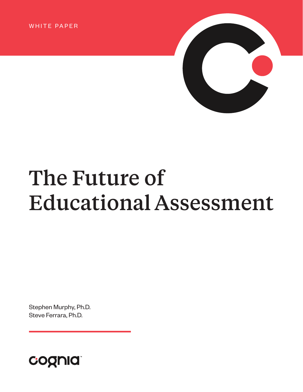WHITE PAPER



# The Future of Educational Assessment

Stephen Murphy, Ph.D. Steve Ferrara, Ph.D.

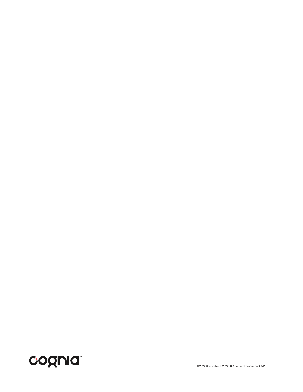

© 2022 Cognia, Inc. | 20220614 Future of assessment WP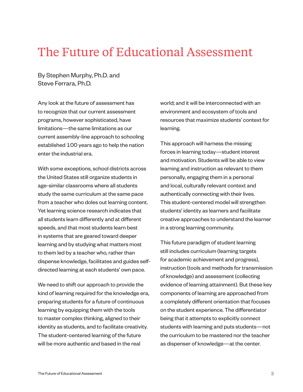# The Future of Educational Assessment

By Stephen Murphy, Ph.D. and Steve Ferrara, Ph.D.

Any look at the future of assessment has to recognize that our current assessment programs, however sophisticated, have limitations—the same limitations as our current assembly-line approach to schooling established 100 years ago to help the nation enter the industrial era.

With some exceptions, school districts across the United States still organize students in age-similar classrooms where all students study the same curriculum at the same pace from a teacher who doles out learning content. Yet learning science research indicates that all students learn differently and at different speeds, and that most students learn best in systems that are geared toward deeper learning and by studying what matters most to them led by a teacher who, rather than dispense knowledge, facilitates and guides selfdirected learning at each students' own pace.

We need to shift our approach to provide the kind of learning required for the knowledge era, preparing students for a future of continuous learning by equipping them with the tools to master complex thinking, aligned to their identity as students, and to facilitate creativity. The student-centered learning of the future will be more authentic and based in the real

world; and it will be interconnected with an environment and ecosystem of tools and resources that maximize students' context for learning.

This approach will harness the missing forces in learning today—student interest and motivation. Students will be able to view learning and instruction as relevant to them personally, engaging them in a personal and local, culturally relevant context and authentically connecting with their lives. This student-centered model will strengthen students' identity as learners and facilitate creative approaches to understand the learner in a strong learning community.

This future paradigm of student learning still includes curriculum (learning targets for academic achievement and progress), instruction (tools and methods for transmission of knowledge) and assessment (collecting evidence of learning attainment). But these key components of learning are approached from a completely different orientation that focuses on the student experience. The differentiator being that it attempts to explicitly connect students with learning and puts students—not the curriculum to be mastered nor the teacher as dispenser of knowledge—at the center.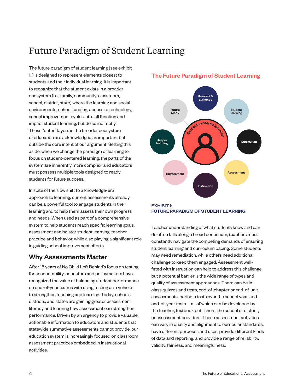## Future Paradigm of Student Learning

The future paradigm of student learning (see exhibit 1. ) is designed to represent elements closest to students and their individual learning. It is important to recognize that the student exists in a broader ecosystem (i.e., family, community, classroom, school, district, state) where the learning and social environments, school funding, access to technology, school improvement cycles, etc., all function and impact student learning, but do so indirectly. These "outer" layers in the broader ecosystem of education are acknowledged as important but outside the core intent of our argument. Setting this aside, when we change the paradigm of learning to focus on student-centered learning, the parts of the system are inherently more complex, and educators must possess multiple tools designed to ready students for future success.

In spite of the slow shift to a knowledge-era approach to learning, current assessments already can be a powerful tool to engage students in their learning and to help them assess their own progress and needs. When used as part of a comprehensive system to help students reach specific learning goals, assessment can bolster student learning, teacher practice and behavior, while also playing a significant role in guiding school improvement efforts.

### Why Assessments Matter

After 15 years of No Child Left Behind's focus on testing for accountability, educators and policymakers have recognized the value of balancing student performance on end-of-year exams with using testing as a vehicle to strengthen teaching and learning. Today, schools, districts, and states are gaining greater assessment literacy and learning how assessment can strengthen performance. Driven by an urgency to provide valuable, actionable information to educators and students that statewide summative assessments cannot provide, our education system is increasingly focused on classroom assessment practices embedded in instructional activities.

### The Future Paradigm of Student Learning





Teacher understanding of what students know and can do often falls along a broad continuum; teachers must constantly navigate the competing demands of ensuring student learning and curriculum pacing. Some students may need remediation, while others need additional challenge to keep them engaged. Assessment wellfitted with instruction can help to address this challenge, but a potential barrier is the wide range of types and quality of assessment approaches. There can be inclass quizzes and tests, end-of-chapter or end-of-unit assessments, periodic tests over the school year, and end-of-year tests—all of which can be developed by the teacher, textbook publishers, the school or district, or assessment providers. These assessment activities can vary in quality and alignment to curricular standards, have different purposes and uses, provide different kinds of data and reporting, and provide a range of reliability, validity, fairness, and meaningfulness.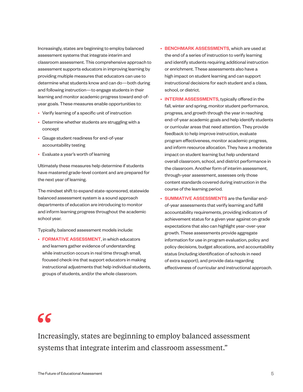Increasingly, states are beginning to employ balanced assessment systems that integrate interim and classroom assessment. This comprehensive approach to assessment supports educators in improving learning by providing multiple measures that educators can use to determine what students know and can do—both during and following instruction—to engage students in their learning and monitor academic progress toward end-ofyear goals. These measures enable opportunities to:

- Verify learning of a specific unit of instruction
- Determine whether students are struggling with a concept
- Gauge student readiness for end-of-year accountability testing
- Evaluate a year's worth of learning

Ultimately these measures help determine if students have mastered grade-level content and are prepared for the next year of learning.

The mindset shift to expand state-sponsored, statewide balanced assessment system is a sound approach departments of education are introducing to monitor and inform learning progress throughout the academic school year.

Typically, balanced assessment models include:

• FORMATIVE ASSESSMENT, in which educators and learners gather evidence of understanding while instruction occurs in real time through small, focused check-ins that support educators in making instructional adjustments that help individual students, groups of students, and/or the whole classroom.

- BENCHMARK ASSESSMENTS, which are used at the end of a series of instruction to verify learning and identify students requiring additional instruction or enrichment. These assessments also have a high impact on student learning and can support instructional decisions for each student and a class, school, or district.
- **INTERIM ASSESSMENTS**, typically offered in the fall, winter and spring, monitor student performance, progress, and growth through the year in reaching end-of-year academic goals and help identify students or curricular areas that need attention. They provide feedback to help improve instruction, evaluate program effectiveness, monitor academic progress, and inform resource allocation. They have a moderate impact on student learning but help understand overall classroom, school, and district performance in the classroom. Another form of interim assessment, through-year assessment, assesses only those content standards covered during instruction in the course of the learning period.
- SUMMATIVE ASSESSMENTS are the familiar endof-year assessments that verify learning and fulfill accountability requirements, providing indicators of achievement status for a given year against on-grade expectations that also can highlight year-over-year growth. These assessments provide aggregate information for use in program evaluation, policy and policy decisions, budget allocations, and accountability status (including identification of schools in need of extra support), and provide data regarding effectiveness of curricular and instructional approach.

# $66$

Increasingly, states are beginning to employ balanced assessment systems that integrate interim and classroom assessment."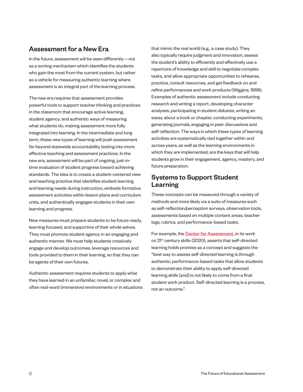### Assessment for a New Era

In the future, assessment will be seen differently—not as a sorting mechanism which identifies the students who gain the most from the current system, but rather as a vehicle for measuring authentic learning where assessment is an integral part of the learning process.

The new era requires that assessment provides powerful tools to support teacher thinking and practices in the classroom that encourage active learning, student agency, and authentic ways of measuring what students do, making assessment more fully integrated into learning. In the intermediate and long term, these new types of learning will push assessment far beyond statewide accountability testing into more effective teaching and assessment practices. In the new era, assessment will be part of ongoing, just-intime evaluation of student progress toward achieving standards. The idea is to create a student-centered view and teaching practice that identifies student learning and learning needs during instruction, embeds formative assessment activities within lesson plans and curriculum units, and authentically engages students in their own learning and progress.

New measures must prepare students to be future ready, learning focused, and supportive of their whole selves. They must promote student agency in an engaging and authentic manner. We must help students creatively engage and develop outcomes, leverage resources and tools provided to them in their learning, so that they can be agents of their own futures.

Authentic assessment requires students to apply what they have learned in an unfamiliar, novel, or complex and often real-word (immersive) environments or in situations that mimic the real world (e.g., a case study). They also typically require judgment and innovation, assess the student's ability to efficiently and effectively use a repertoire of knowledge and skill to negotiate complex tasks, and allow appropriate opportunities to rehearse, practice, consult resources, and get feedback on and refine performances and work products (Wiggins, 1998). Examples of authentic assessment include conducting research and writing a report, developing character analyses, participating in student debates, writing an essay about a book or chapter, conducting experiments, generating journals, engaging in peer discussions and self-reflection. The ways in which these types of learning activities are systematically tied together within and across years, as well as the learning environments in which they are implemented, are the keys that will help students grow in their engagement, agency, mastery, and future preparation.

### Systems to Support Student Learning

These concepts can be measured through a variety of methods and more likely via a suite of measures such as self-reflection/perception surveys, observation tools, assessments based on multiple content areas, teacher logs, rubrics, and performance-based tasks.

For example, the **Center for Assessment**, in its work on 21<sup>st</sup> century skills (2020), asserts that self-directed learning holds promise as a concept and suggests the "best way to assess self-directed learning is through authentic, performance-based tasks that allow students to demonstrate their ability to apply self-directed learning skills [and] is not likely to come from a final student work product. Self-directed learning is a process, not an outcome."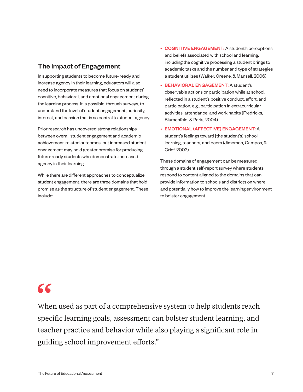### The Impact of Engagement

In supporting students to become future-ready and increase agency in their learning, educators will also need to incorporate measures that focus on students' cognitive, behavioral, and emotional engagement during the learning process. It is possible, through surveys, to understand the level of student engagement, curiosity, interest, and passion that is so central to student agency.

Prior research has uncovered strong relationships between overall student engagement and academic achievement-related outcomes, but increased student engagement may hold greater promise for producing future-ready students who demonstrate increased agency in their learning.

While there are different approaches to conceptualize student engagement, there are three domains that hold promise as the structure of student engagement. These include:

- COGNITIVE ENGAGEMENT: A student's perceptions and beliefs associated with school and learning, including the cognitive processing a student brings to academic tasks and the number and type of strategies a student utilizes (Walker, Greene, & Mansell, 2006)
- BEHAVIORAL ENGAGEMENT: A student's observable actions or participation while at school, reflected in a student's positive conduct, effort, and participation, e.g., participation in extracurricular activities, attendance, and work habits (Fredricks, Blumenfeld, & Paris, 2004)
- EMOTIONAL (AFFECTIVE) ENGAGEMENT: A student's feelings toward [the student's] school, learning, teachers, and peers (Jimerson, Campos, & Grief, 2003)

These domains of engagement can be measured through a student self-report survey where students respond to content aligned to the domains that can provide information to schools and districts on where and potentially how to improve the learning environment to bolster engagement.

# $66$

When used as part of a comprehensive system to help students reach specific learning goals, assessment can bolster student learning, and teacher practice and behavior while also playing a significant role in guiding school improvement efforts."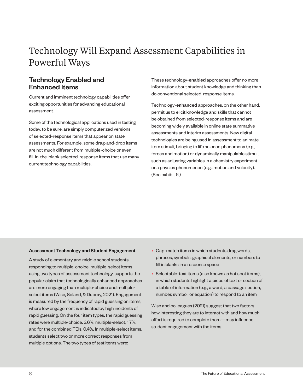# Technology Will Expand Assessment Capabilities in Powerful Ways

### Technology Enabled and Enhanced Items

Current and imminent technology capabilities offer exciting opportunities for advancing educational assessment.

Some of the technological applications used in testing today, to be sure, are simply computerized versions of selected-response items that appear on state assessments. For example, some drag-and-drop items are not much different from multiple-choice or even fill-in-the-blank selected-response items that use many current technology capabilities.

These technology-enabled approaches offer no more information about student knowledge and thinking than do conventional selected-response items.

Technology-enhanced approaches, on the other hand, permit us to elicit knowledge and skills that cannot be obtained from selected-response items and are becoming widely available in online state summative assessments and interim assessments. New digital technologies are being used in assessment to animate item stimuli, bringing to life science phenomena (e.g., forces and motion) or dynamically manipulable stimuli, such as adjusting variables in a chemistry experiment or a physics phenomenon (e.g., motion and velocity). (See exhibit 6.)

#### Assessment Technology and Student Engagement

A study of elementary and middle school students responding to multiple-choice, multiple-select items using two types of assessment technology, supports the popular claim that technologically enhanced approaches are more engaging than multiple-choice and multipleselect items (Wise, Soland, & Dupray, 2021). Engagement is measured by the frequency of rapid guessing on items, where low engagement is indicated by high incidents of rapid guessing. On the four item types, the rapid guessing rates were multiple-choice, 3.6%; multiple-select, 1.7%; and for the combined TEIs, 0.4%. In multiple-select items, students select two or more correct responses from multiple options. The two types of test items were:

- Gap-match items in which students drag words, phrases, symbols, graphical elements, or numbers to fill in blanks in a response space
- Selectable-text items (also known as hot spot items), in which students highlight a piece of text or section of a table of information (e.g., a word, a passage section, number, symbol, or equation) to respond to an item

Wise and colleagues (2021) suggest that two factors how interesting they are to interact with and how much effort is required to complete them—may influence student engagement with the items.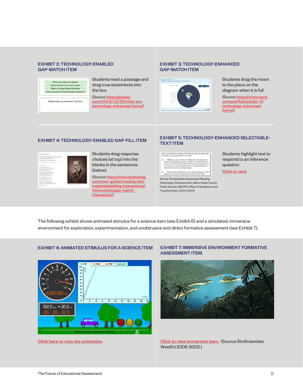#### EXHIBIT 2: TECHNOLOGY-ENABLED GAP-MATCH ITEM



Please drag your answers to this box.

Students read a passage and drag true statements into the box

(Source [https://assess.](https://assess.com/2019/12/26/what-are-technology-enhanced-items/) [com/2019/12/26/what-are](https://assess.com/2019/12/26/what-are-technology-enhanced-items/)[technology-enhanced-items/](https://assess.com/2019/12/26/what-are-technology-enhanced-items/))

#### EXHIBIT 3: TECHNOLOGY-ENHANCED GAP-MATCH ITEM



Students drag the moon to the place on the diagram when it is full

(Source [https://victoryprd.](https://victoryprd.com/portfolios/suite-of-technology-enhanced-items/) [com/portfolios/suite-of](https://victoryprd.com/portfolios/suite-of-technology-enhanced-items/)[technology-enhanced](https://victoryprd.com/portfolios/suite-of-technology-enhanced-items/)[items/](https://victoryprd.com/portfolios/suite-of-technology-enhanced-items/))



Students drag response choices (at top) into the blanks in the sentences (below)

(Source [https://www.taotesting.](https://www.taotesting.com/user-guide/creating-test-materials/adding-interactions/interactions/gap-match-interaction/) [com/user-guide/creating-test](https://www.taotesting.com/user-guide/creating-test-materials/adding-interactions/interactions/gap-match-interaction/)[materials/adding-interactions/](https://www.taotesting.com/user-guide/creating-test-materials/adding-interactions/interactions/gap-match-interaction/) [interactions/gap-match](https://www.taotesting.com/user-guide/creating-test-materials/adding-interactions/interactions/gap-match-interaction/)[interaction/](https://www.taotesting.com/user-guide/creating-test-materials/adding-interactions/interactions/gap-match-interaction/))

#### EXHIBIT 4: TECHNOLOGY-ENABLED GAP-FILL ITEM EXHIBIT 5: TECHNOLOGY-ENHANCED SELECTABLE-TEXT ITEM

| Select the sentence from Passage 2 that shows why the man beleves that<br>his cheeses can bring themselves to the market.                                                                                                                                                                                                                     |
|-----------------------------------------------------------------------------------------------------------------------------------------------------------------------------------------------------------------------------------------------------------------------------------------------------------------------------------------------|
| THERE was a man of Gotham who filled a sack with cheeses and<br>14<br>started off for Nottingham market to sell them. He carried the sack on<br>his back, and when he became tired he sat down by the wayside to rest.<br>Thus he went on until he reached the summit of the last hill he had to<br>dimb before he came to Nottingham bridge. |
| There he rested, and when he rose to continue his journey a cheese<br>15<br>slipped out of the sack and rolled down the hill toward the bridge.                                                                                                                                                                                               |

Source: Florida State Assessment Reading Technology-Enhanced Item, Miami-Dade County Public Schools. MDCPS, Office of Academics and Transformation, 2015-2016.

Students highlight text to respond to an inference question

(Click to view)

The following exhibit shows animated stimulus for a science item (see Exhibit 6) and a simulated, immersive environment for exploration, experimentation, and unobtrusive and direct formative assessment (see Exhibit 7).

#### EXHIBIT 6: ANIMATED STIMULUS FOR A SCIENCE ITEM



#### EXHIBIT 7: IMMERSIVE ENVIRONMENT FORMATIVE ASSESSMENT ITEM.



[Click here to view the animation.](https://www.vascak.cz/data/android/physicsatschool/template.php?s=mech_pohyb&l=en) Click to view immersive item. (Source SimScientists WestEd 2009-2002.)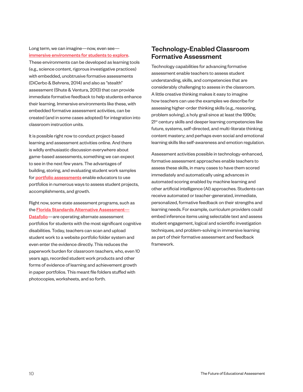Long term, we can imagine—now, even see [immersive environments for students to explore](http://www.pz.harvard.edu/projects/ecomuve).

These environments can be developed as learning tools (e.g., science content, rigorous investigative practices) with embedded, unobtrusive formative assessments (DiCerbo & Behrens, 2014) and also as "stealth" assessment (Shute & Ventura, 2013) that can provide immediate formative feedback to help students enhance their learning. Immersive environments like these, with embedded formative assessment activities, can be created (and in some cases adopted) for integration into classroom instruction units.

It is possible right now to conduct project-based learning and assessment activities online. And there is wildly enthusiastic discussion everywhere about game-based assessments, something we can expect to see in the next few years. The advantages of building, storing, and evaluating student work samples for **[portfolio assessments](https://edsource.org/2017/high-schools-turning-to-student-portfolios-to-assess-academic-progress/580147)** enable educators to use portfolios in numerous ways to assess student projects, accomplishments, and growth.

Right now, some state assessment programs, such as the Florida Standards Alternative Assessment-[Datafolio](http://www.fldoe.org/core/fileparse.php/5663/urlt/FSAA-DatafolioALDs.pdf)—are operating alternate assessment portfolios for students with the most significant cognitive disabilities. Today, teachers can scan and upload student work to a website portfolio folder system and even enter the evidence directly. This reduces the paperwork burden for classroom teachers, who, even 10 years ago, recorded student work products and other forms of evidence of learning and achievement growth in paper portfolios. This meant file folders stuffed with photocopies, worksheets, and so forth.

### Technology-Enabled Classroom Formative Assessment

Technology capabilities for advancing formative assessment enable teachers to assess student understanding, skills, and competencies that are considerably challenging to assess in the classroom. A little creative thinking makes it easy to imagine how teachers can use the examples we describe for assessing higher-order thinking skills (e.g., reasoning, problem solving), a holy grail since at least the 1990s; 21<sup>st</sup> century skills and deeper learning competencies like future, systems, self-directed, and multi-literate thinking; content mastery; and perhaps even social and emotional learning skills like self-awareness and emotion regulation.

Assessment activities possible in technology-enhanced, formative assessment approaches enable teachers to assess these skills, in many cases to have them scored immediately and automatically using advances in automated scoring enabled by machine learning and other artificial intelligence (AI) approaches. Students can receive automated or teacher-generated, immediate, personalized, formative feedback on their strengths and learning needs. For example, curriculum providers could embed inference items using selectable text and assess student engagement, logical and scientific investigation techniques, and problem-solving in immersive learning as part of their formative assessment and feedback framework.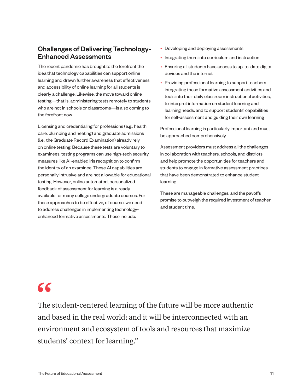### Challenges of Delivering Technology-Enhanced Assessments

The recent pandemic has brought to the forefront the idea that technology capabilities can support online learning and drawn further awareness that effectiveness and accessibility of online learning for all students is clearly a challenge. Likewise, the move toward online testing—that is, administering tests remotely to students who are not in schools or classrooms—is also coming to the forefront now.

Licensing and credentialing for professions (e.g., health care, plumbing and heating) and graduate admissions (i.e., the Graduate Record Examination) already rely on online testing. Because these tests are voluntary to examinees, testing programs can use high-tech security measures like AI-enabled iris recognition to confirm the identity of an examinee. These AI capabilities are personally intrusive and are not allowable for educational testing. However, online automated, personalized feedback of assessment for learning is already available for many college undergraduate courses. For these approaches to be effective, of course, we need to address challenges in implementing technologyenhanced formative assessments. These include:

- Developing and deploying assessments
- Integrating them into curriculum and instruction
- Ensuring all students have access to up-to-date digital devices and the internet
- Providing professional learning to support teachers integrating these formative assessment activities and tools into their daily classroom instructional activities, to interpret information on student learning and learning needs, and to support students' capabilities for self-assessment and guiding their own learning

Professional learning is particularly important and must be approached comprehensively.

Assessment providers must address all the challenges in collaboration with teachers, schools, and districts, and help promote the opportunities for teachers and students to engage in formative assessment practices that have been demonstrated to enhance student learning.

These are manageable challenges, and the payoffs promise to outweigh the required investment of teacher and student time.

# 66

The student-centered learning of the future will be more authentic and based in the real world; and it will be interconnected with an environment and ecosystem of tools and resources that maximize students' context for learning."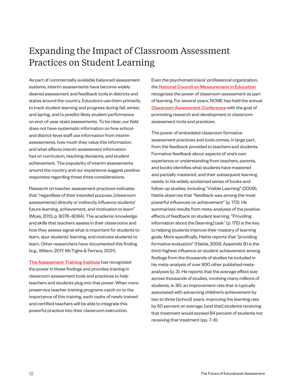## Expanding the Impact of Classroom Assessment Practices on Student Learning

As part of commercially available balanced assessment systems, interim assessments have become widely desired assessment and feedback tools in districts and states around the country. Educators use them primarily to track student learning and progress during fall, winter, and spring, and to predict likely student performance on end-of-year state assessments. To be clear, our field does not have systematic information on how schooland district-level staff use information from interim assessments, how much they value this information, and what affects interim assessment information has on curriculum, teaching decisions, and student achievement. The popularity of interim assessments around the country and our experience suggest positive responses regarding these three considerations.

Research on teacher assessment practices indicates that "regardless of their intended purpose, [classroom assessments] directly or indirectly influence students' future learning, achievement, and motivation to learn" (Moss, 2013, p. 8078–8084). The academic knowledge and skills that teachers assess in their classrooms and how they assess signal what is important for students to learn, spur students' learning, and motivate students to learn. Other researchers have documented this finding (e.g., Wiliam, 2017; McTighe & Ferrara, 2021).

[The Assessment Training Institute](http://downloads.pearsonassessments.com/ati/index.html) has recognized the power in these findings and provides training in classroom assessment tools and practices to help teachers and students plug into that power. When more preservice teacher training programs catch on to the importance of this training, each cadre of newly trained and certified teachers will be able to integrate this powerful practice into their classroom instruction.

Even the psychometricians' professional organization, the **[National Council on Measurement in Education](https://www.ncme.org/home)** recognizes the power of classroom assessment as part of learning. For several years, NCME has held the annual [Classroom Assessment Conference](https://www.ncme.org/events/event-description?CalendarEventKey=d1b6f6e9-3e8e-4bd8-ba31-6e6799e2b1b9&Home=%2fmeetings%2fupcoming-events) with the goal of promoting research and development in classroom assessment tools and practices.

The power of embedded classroom formative assessment practices and tools comes, in large part, from the feedback provided to teachers and students. Formative feedback about aspects of one's own experience or understanding from teachers, parents, and books identifies what students have mastered and partially mastered, and their subsequent learning needs. In his widely acclaimed series of books and follow-up studies, including "Visible Learning" (2009), Hattie observes that "feedback was among the most powerful influences on achievement" (p. 173). He summarizes results from meta-analyses of the positive effects of feedback on student learning. "Providing information about the [learning] task" (p. 175) is the key to helping students improve their mastery of learning goals. More specifically, Hattie reports that "providing formative evaluation" (Hattie, 2009, Appendix B) is the third-highest influence on student achievement among findings from the thousands of studies he included in his meta-analysis of over 800 other published metaanalyses (p. 3). He reports that the average effect size across thousands of studies, involving many millions of students, is .90, an improvement rate that is typically associated with advancing children's achievement by two to three [school] years, improving the learning rate by 50 percent on average, [and that] students receiving that treatment would exceed 84 percent of students not receiving that treatment (pp. 7–8).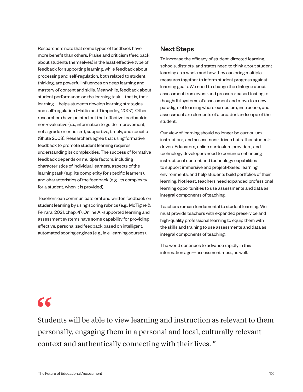Researchers note that some types of feedback have more benefit than others. Praise and criticism (feedback about students themselves) is the least effective type of feedback for supporting learning, while feedback about processing and self-regulation, both related to student thinking, are powerful influences on deep learning and mastery of content and skills. Meanwhile, feedback about student performance on the learning task—that is, their learning—helps students develop learning strategies and self-regulation (Hattie and Timperley, 2007). Other researchers have pointed out that effective feedback is non-evaluative (i.e., information to guide improvement, not a grade or criticism), supportive, timely, and specific (Shute 2008). Researchers agree that using formative feedback to promote student learning requires understanding its complexities. The success of formative feedback depends on multiple factors, including characteristics of individual learners, aspects of the learning task (e.g., its complexity for specific learners), and characteristics of the feedback (e.g., its complexity for a student, when it is provided).

Teachers can communicate oral and written feedback on student learning by using scoring rubrics (e.g., McTighe & Ferrara, 2021, chap. 4). Online AI-supported learning and assessment systems have some capability for providing effective, personalized feedback based on intelligent, automated scoring engines (e.g., in e-learning courses).

### Next Steps

To increase the efficacy of student-directed learning, schools, districts, and states need to think about student learning as a whole and how they can bring multiple measures together to inform student progress against learning goals. We need to change the dialogue about assessment from event-and pressure-based testing to thoughtful systems of assessment and move to a new paradigm of learning where curriculum, instruction, and assessment are elements of a broader landscape of the student.

Our view of learning should no longer be curriculum-, instruction-, and assessment-driven but rather studentdriven. Educators, online curriculum providers, and technology developers need to continue enhancing instructional content and technology capabilities to support immersive and project-based learning environments, and help students build portfolios of their learning. Not least, teachers need expanded professional learning opportunities to use assessments and data as integral components of teaching.

Teachers remain fundamental to student learning. We must provide teachers with expanded preservice and high-quality professional learning to equip them with the skills and training to use assessments and data as integral components of teaching.

The world continues to advance rapidly in this information age—assessment must, as well.

# 66

Students will be able to view learning and instruction as relevant to them personally, engaging them in a personal and local, culturally relevant context and authentically connecting with their lives. "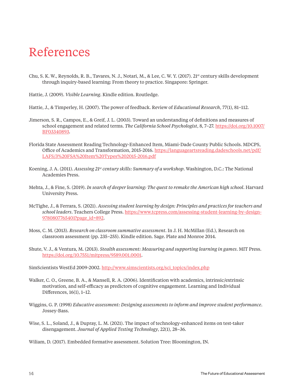# References

- Chu, S. K. W., Reynolds, R. B., Tavares, N. J., Notari, M., & Lee, C. W. Y. (2017). 21<sup>st</sup> century skills development through inquiry-based learning: From theory to practice. Singapore: Springer.
- Hattie, J. (2009). *Visible Learning*. Kindle edition. Routledge.

Hattie, J., & Timperley, H. (2007). The power of feedback. Review of *Educational Research*, 77(1), 81–112.

- Jimerson, S. R., Campos, E., & Greif, J. L. (2003). Toward an understanding of definitions and measures of school engagement and related terms. *The California School Psychologist*, 8, 7–27. [https://doi.org/10.1007/](https://protect-us.mimecast.com/s/v1RSCYEQroT3NokLC02CtK?domain=doi.org) [BF03340893](https://protect-us.mimecast.com/s/v1RSCYEQroT3NokLC02CtK?domain=doi.org).
- Florida State Assessment Reading Technology-Enhanced Item, Miami-Dade County Public Schools. MDCPS, Office of Academics and Transformation, 2015-2016. [https://languageartsreading.dadeschools.net/pdf/](https://languageartsreading.dadeschools.net/pdf/LAFS/3%20FSA%20Item%20Types%202015-2016.pdf) [LAFS/3%20FSA%20Item%20Types%202015-2016.pdf](https://languageartsreading.dadeschools.net/pdf/LAFS/3%20FSA%20Item%20Types%202015-2016.pdf)
- Koening, J. A. (2011). *Assessing 21<sup>st</sup> century skills: Summary of a workshop*. Washington, D.C.: The National Academies Press.
- Mehta, J., & Fine, S. (2019). *In search of deeper learning: The quest to remake the American high school*. Harvard University Press.
- McTighe, J., & Ferrara, S. (2021). *Assessing student learning by design: Principles and practices for teachers and school leaders*. Teachers College Press. [https://www.tcpress.com/assessing-student-learning-by-design-](https://protect-us.mimecast.com/s/PopACZ6wvqfMDnP5tjy_jR?domain=tcpress.com)[9780807765401?page\\_id=892](https://protect-us.mimecast.com/s/PopACZ6wvqfMDnP5tjy_jR?domain=tcpress.com).
- Moss, C. M. (2013). *Research on classroom summative assessment*. In J. H. McMillan (Ed.), Research on classroom assessment (pp. 235–255). Kindle edition. Sage. Plate and Monroe 2014.
- Shute, V. J., & Ventura, M. (2013). *Stealth assessment: Measuring and supporting learning in games*. MIT Press. [https://doi.org/10.7551/mitpress/9589.001.0001.](https://protect-us.mimecast.com/s/Jx4AC1wYExFpkwnMfp-k-3?domain=doi.org)

SimScientists WestEd 2009-2002. [http://www.simscientists.org/sci\\_topics/index.php](http://www.simscientists.org/sci_topics/index.php)

- Walker, C. O., Greene, B. A., & Mansell, R. A. (2006). Identification with academics, intrinsic/extrinsic motivation, and self-efficacy as predictors of cognitive engagement. Learning and Individual Differences, 16(1), 1–12.
- Wiggins, G. P. (1998) *Educative assessment: Designing assessments to inform and improve student performance*. Jossey-Bass.
- Wise, S. L., Soland, J., & Dupray, L. M. (2021). The impact of technology-enhanced items on test-taker disengagement. *Journal of Applied Testing Technology*, 22(1), 28–36.

Wiliam, D. (2017). Embedded formative assessment. Solution Tree: Bloomington, IN.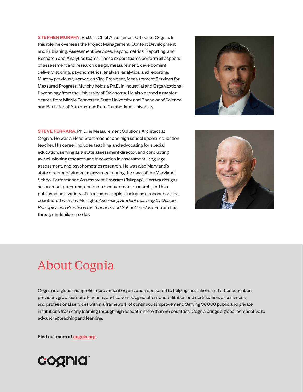STEPHEN MURPHY, Ph.D., is Chief Assessment Officer at Cognia. In this role, he oversees the Project Management; Content Development and Publishing; Assessment Services; Psychometrics; Reporting; and Research and Analytics teams. These expert teams perform all aspects of assessment and research design, measurement, development, delivery, scoring, psychometrics, analysis, analytics, and reporting. Murphy previously served as Vice President, Measurement Services for Measured Progress. Murphy holds a Ph.D. in Industrial and Organizational Psychology from the University of Oklahoma. He also earned a master degree from Middle Tennessee State University and Bachelor of Science and Bachelor of Arts degrees from Cumberland University.



STEVE FERRARA, Ph.D., is Measurement Solutions Architect at Cognia. He was a Head Start teacher and high school special education teacher. His career includes teaching and advocating for special education, serving as a state assessment director, and conducting award-winning research and innovation in assessment, language assessment, and psychometrics research. He was also Maryland's state director of student assessment during the days of the Maryland School Performance Assessment Program ("Mizpap"). Ferrara designs assessment programs, conducts measurement research, and has published on a variety of assessment topics, including a recent book he coauthored with Jay McTighe, *Assessing Student Learning by Design: Principles and Practices for Teachers and School Leaders*. Ferrara has three grandchildren so far.



# About Cognia

Cognia is a global, nonprofit improvement organization dedicated to helping institutions and other education providers grow learners, teachers, and leaders. Cognia offers accreditation and certification, assessment, and professional services within a framework of continuous improvement. Serving 36,000 public and private institutions from early learning through high school in more than 85 countries, Cognia brings a global perspective to advancing teaching and learning.

Find out more at [cognia.org](http://www.cognia.org).